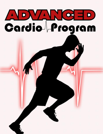# ADVANCHD Cardio **Program**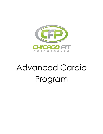

# Advanced Cardio Program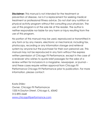**Disclaimer:** This manual is not intended for the treatment or prevention of disease, nor is it a replacement for seeking medical treatment or professional fitness advice. Do not start any nutrition or physical activity program without first consulting your physician. The use of this program is at the sole risk of the reader. The author is neither responsible nor liable for any harm or injury resulting from the use of this program.

No portion of this manual may be used, reproduced or transmitted in any form or by any means, electronic or mechanical, including fax, photocopy, recording or any information storage and retrieval system by anyone but the purchaser for their own personal use. This manual may not be reproduced in any form without the express written permission of Chicago Fit Performance, except in the case of a reviewer who wishes to quote brief passages for the sake of a review written for inclusions in a magazine, newspaper, or journal – and these cases require written approval from Chicago Fit Performance Chicago Fit Performance prior to publication. For more information, please contact:

Kosta Shilev Owner, Chicago Fit Performance 1535 N Dayton Street, Chicago IL, 60642 312-890-2668 <www.chicagofitperformance.com>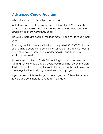# **Advanced Cardio Program**

Who is the advanced cardio program for?

At first, we were hesitant to even write this protocol. We knew that some people would jump right into this before they were ready for it and likely do more harm than good.

However, there are people who legitimately need this to reach their goals.

This program is for someone that has completed AT LEAST 30 days of strict eating according to our nutrition principles, is getting at least 8 hours of sleep per night, and is performing 3 strength-training workouts per week.

Unless you can check off all of those things and you are already walking 30+ minutes a day outdoors, you should not be on the plan. Go back and focus on the things that you can do that will help you lose weight without adding more stress to your program.

If you have all of those things mastered, you can follow this protocol to help you burn more fat and reach your goals.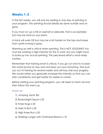## **Weeks 1-3**

In the first weeks, you will only be adding in one day of sprinting to your program. This sprinting should ideally be done outside and on grass.

If you must run up a hill on asphalt or sidewalk, that is acceptable but may be hard on your joints.

A track will work OK but may be a bit harder on the hips and knees than uphill running in grass.

Warming up well is critical when sprinting. This is NOT JOGGING! You must be working a high intensity for this to work, but you might have to build up into actual sprinting. The perceived effort is what really matters.

Remember that training smart is critical. If you go out and try to beat the world record on day one and blow out your hamstring, that puts you out of training for several weeks and will truly stall your progress. We would rather you gradually increase the intensity so that you can train consistently and get better for weeks to come!

Before starting your sprinting program, you will need to foam roll and then follow this warm up

#### Warm Up

- 1) Jumping Jacks 30s
- 2) Bodyweight Squat x 20
- 3) Knee Hugs x 20
- 4) Heel to Butt x 20
- 5) High Knee Run x 20
- 6) Walking Lunges with Overhead Reach x 10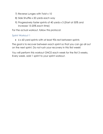- 7) Reverse Lunges with Twist x 10
- 8) Side Shuffle x 20 yards each way
- 9) Progressively faster sprints of 40 yards x 3 (Start at 50% and increase 15-20% each time)

For the actual workout, follow this protocol:

#### Sprint Workout 1

6 x 60 yard sprints with at least 90s rest between sprints

The goal is to recover between each sprint so that you can go all out on the next sprint. Do not rush your recovery in this first week!

You will perform this workout ONCE each week for the first 3 weeks. Every week, add 1 sprint to your sprint workout.